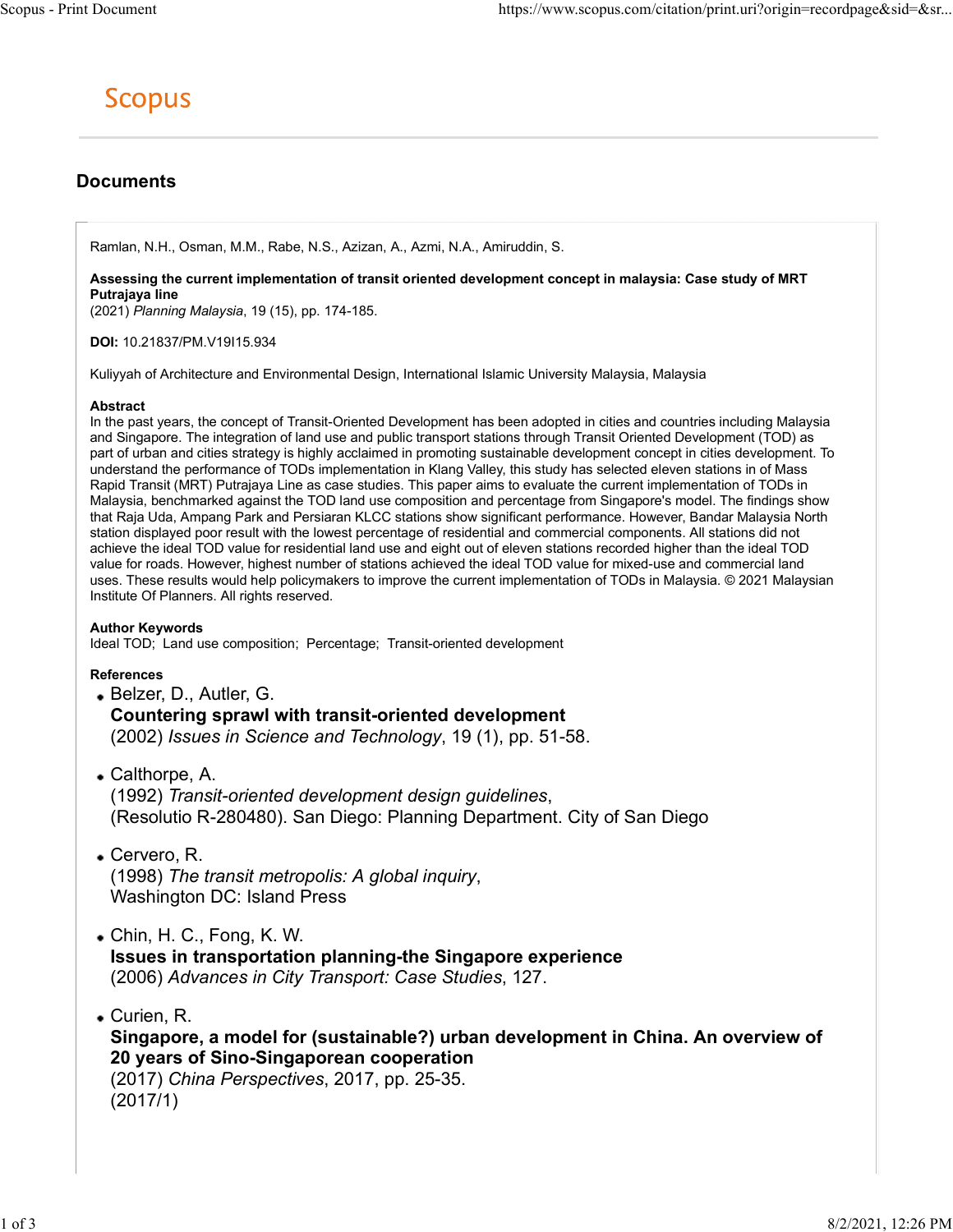# **Documents**

Ramlan, N.H., Osman, M.M., Rabe, N.S., Azizan, A., Azmi, N.A., Amiruddin, S.

Assessing the current implementation of transit oriented development concept in malaysia: Case study of MRT Putrajaya line

(2021) Planning Malaysia, 19 (15), pp. 174-185.

DOI: 10.21837/PM.V19I15.934

Kuliyyah of Architecture and Environmental Design, International Islamic University Malaysia, Malaysia

### Abstract

In the past years, the concept of Transit-Oriented Development has been adopted in cities and countries including Malaysia and Singapore. The integration of land use and public transport stations through Transit Oriented Development (TOD) as part of urban and cities strategy is highly acclaimed in promoting sustainable development concept in cities development. To understand the performance of TODs implementation in Klang Valley, this study has selected eleven stations in of Mass Rapid Transit (MRT) Putrajaya Line as case studies. This paper aims to evaluate the current implementation of TODs in Malaysia, benchmarked against the TOD land use composition and percentage from Singapore's model. The findings show that Raja Uda, Ampang Park and Persiaran KLCC stations show significant performance. However, Bandar Malaysia North station displayed poor result with the lowest percentage of residential and commercial components. All stations did not achieve the ideal TOD value for residential land use and eight out of eleven stations recorded higher than the ideal TOD value for roads. However, highest number of stations achieved the ideal TOD value for mixed-use and commercial land uses. These results would help policymakers to improve the current implementation of TODs in Malaysia. © 2021 Malaysian Institute Of Planners. All rights reserved.

# Author Keywords

Ideal TOD; Land use composition; Percentage; Transit-oriented development

# References

- Belzer, D., Autler, G. Countering sprawl with transit-oriented development (2002) Issues in Science and Technology, 19 (1), pp. 51-58.
- Calthorpe, A. (1992) *Transit-oriented development design guidelines*,<br>(Resolutio R-280480). San Diego: Planning Department. City of San Diego
- Cervero, R. (1998) The transit metropolis: A global inquiry, Washington DC: Island Press
- Chin, H. C., Fong, K. W. Issues in transportation planning-the Singapore experience (2006) Advances in City Transport: Case Studies, 127.
- Curien, R. Singapore, a model for (sustainable?) urban development in China. An overview of 20 years of Sino-Singaporean cooperation (2017) China Perspectives, 2017, pp. 25-35. (2017/1)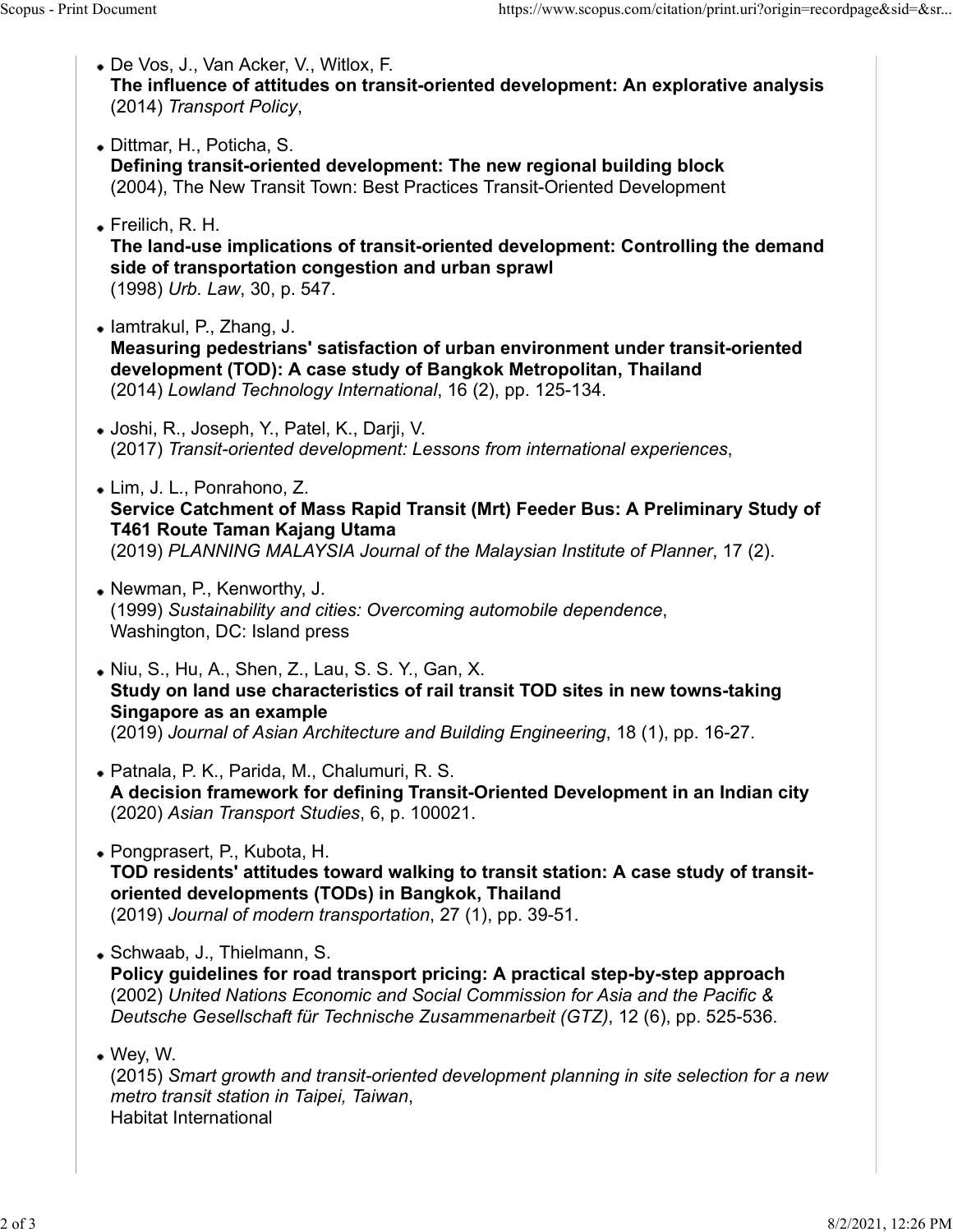- De Vos, J., Van Acker, V., Witlox, F. The influence of attitudes on transit-oriented development: An explorative analysis Scopus - Print Document<br>
• De Vos, J., Van Acker, V., Witlox, F.<br> **• De Vos, J., Van Acker, V., Witlox, F.<br>
The influence of attitudes on transit-oriented development: An explorative analysis<br>
(2014) Transport Policy.** 
	- (2014) Transport Policy,<br>Dittmar, H., Poticha, S. Defining transit-oriented development: The new regional building block (2004), The New Transit Town: Best Practices Transit-Oriented Development
	- Freilich, R. H.

The land-use implications of transit-oriented development: Controlling the demand side of transportation congestion and urban sprawl (1998) Urb. Law, 30, p. 547.

• Iamtrakul, P., Zhang, J.

Measuring pedestrians' satisfaction of urban environment under transit-oriented development (TOD): A case study of Bangkok Metropolitan, Thailand (2014) Lowland Technology International, 16 (2), pp. 125-134.

- Joshi, R., Joseph, Y., Patel, K., Darji, V. (2017) Transit-oriented development: Lessons from international experiences, Lim, J. L., Ponrahono, Z.
- Service Catchment of Mass Rapid Transit (Mrt) Feeder Bus: A Preliminary Study of T461 Route Taman Kajang Utama (2019) PLANNING MALAYSIA Journal of the Malaysian Institute of Planner, 17 (2).
- Newman, P., Kenworthy, J. (1999) Sustainability and cities: Overcoming automobile dependence, Washington, DC: Island press
- Niu, S., Hu, A., Shen, Z., Lau, S. S. Y., Gan, X. Study on land use characteristics of rail transit TOD sites in new towns-taking Singapore as an example (2019) Journal of Asian Architecture and Building Engineering, 18 (1), pp. 16-27.
- Patnala, P. K., Parida, M., Chalumuri, R. S. A decision framework for defining Transit-Oriented Development in an Indian city (2020) Asian Transport Studies, 6, p. 100021.
- Pongprasert, P., Kubota, H. TOD residents' attitudes toward walking to transit station: A case study of transitoriented developments (TODs) in Bangkok, Thailand (2019) Journal of modern transportation, 27 (1), pp. 39-51.
- Schwaab, J., Thielmann, S.

Policy guidelines for road transport pricing: A practical step-by-step approach (2002) United Nations Economic and Social Commission for Asia and the Pacific & Deutsche Gesellschaft für Technische Zusammenarbeit (GTZ), 12 (6), pp. 525-536.

Wey, W.

(2015) Smart growth and transit-oriented development planning in site selection for a new metro transit station in Taipei, Taiwan, Habitat International